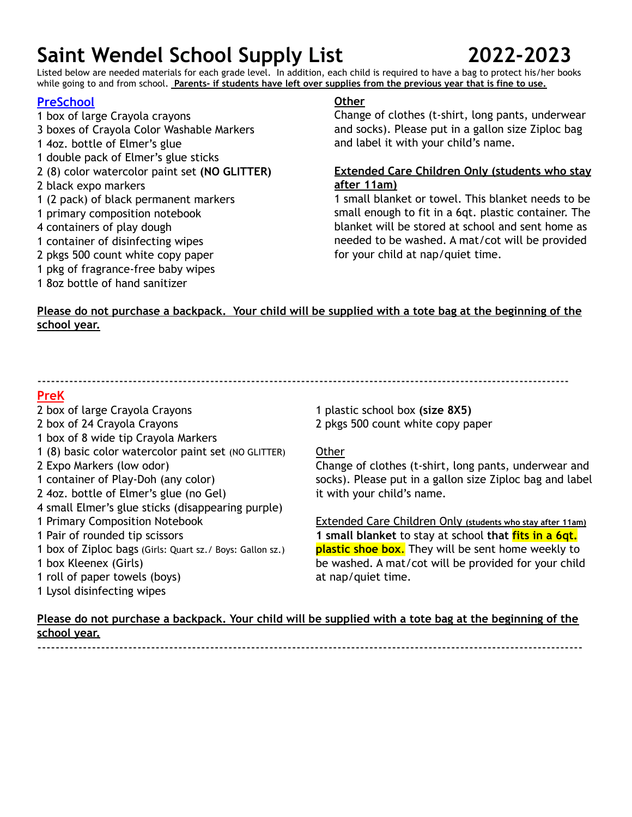Listed below are needed materials for each grade level. In addition, each child is required to have a bag to protect his/her books while going to and from school. **Parents- if students have left over supplies from the previous year that is fine to use.**

### **PreSchool**

- 1 box of large Crayola crayons 3 boxes of Crayola Color Washable Markers 1 4oz. bottle of Elmer's glue 1 double pack of Elmer's glue sticks 2 (8) color watercolor paint set **(NO GLITTER)** 2 black expo markers 1 (2 pack) of black permanent markers 1 primary composition notebook 4 containers of play dough
- 1 container of disinfecting wipes
- 2 pkgs 500 count white copy paper
- 1 pkg of fragrance-free baby wipes
- 1 8oz bottle of hand sanitizer

### **Other**

Change of clothes (t-shirt, long pants, underwear and socks). Please put in a gallon size Ziploc bag and label it with your child's name.

#### **Extended Care Children Only (students who stay after 11am)**

1 small blanket or towel. This blanket needs to be small enough to fit in a 6qt. plastic container. The blanket will be stored at school and sent home as needed to be washed. A mat/cot will be provided for your child at nap/quiet time.

### Please do not purchase a backpack. Your child will be supplied with a tote bag at the beginning of the **school year.**

---------------------------------------------------------------------------------------------------------------------

#### **PreK**

- 2 box of large Crayola Crayons 2 box of 24 Crayola Crayons 1 box of 8 wide tip Crayola Markers 1 (8) basic color watercolor paint set (NO GLITTER) 2 Expo Markers (low odor) 1 container of Play-Doh (any color) 2 4oz. bottle of Elmer's glue (no Gel) 4 small Elmer's glue sticks (disappearing purple) 1 Primary Composition Notebook 1 Pair of rounded tip scissors 1 box of Ziploc bags (Girls: Quart sz./ Boys: Gallon sz.) 1 box Kleenex (Girls) 1 roll of paper towels (boys)
- 
- 1 Lysol disinfecting wipes

1 plastic school box **(size 8X5)** 2 pkgs 500 count white copy paper

#### Other

Change of clothes (t-shirt, long pants, underwear and socks). Please put in a gallon size Ziploc bag and label it with your child's name.

Extended Care Children Only **(students who stay after 11am) 1 small blanket** to stay at school **that fits in a 6qt. plastic shoe box**. They will be sent home weekly to be washed. A mat/cot will be provided for your child at nap/quiet time.

### Please do not purchase a backpack. Your child will be supplied with a tote bag at the beginning of the **school year.**

------------------------------------------------------------------------------------------------------------------------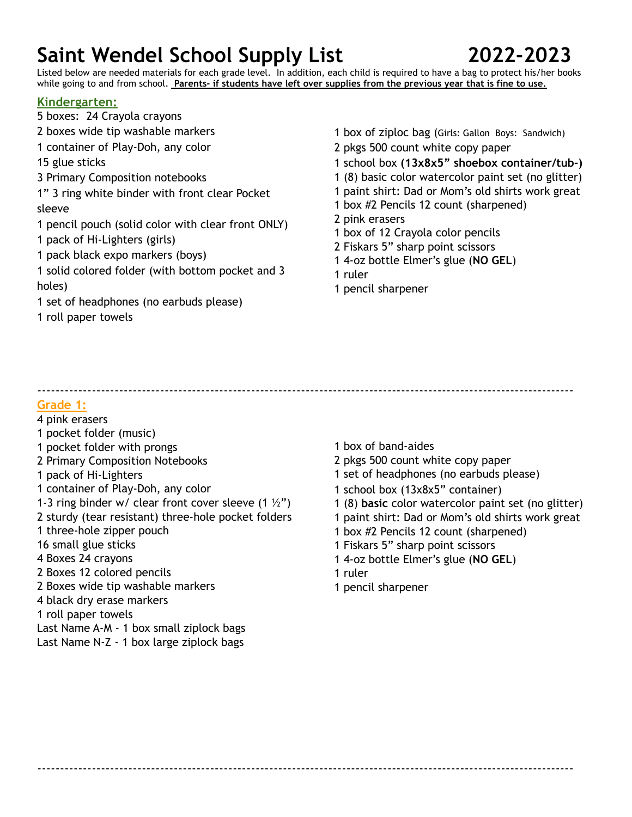Listed below are needed materials for each grade level. In addition, each child is required to have a bag to protect his/her books while going to and from school. **Parents- if students have left over supplies from the previous year that is fine to use.**

#### **Kindergarten:**

- boxes: 24 Crayola crayons boxes wide tip washable markers container of Play-Doh, any color glue sticks Primary Composition notebooks 1" 3 ring white binder with front clear Pocket sleeve pencil pouch (solid color with clear front ONLY) pack of Hi-Lighters (girls) pack black expo markers (boys) solid colored folder (with bottom pocket and 3 holes) set of headphones (no earbuds please) roll paper towels
- box of ziploc bag (Girls: Gallon Boys: Sandwich)
- pkgs 500 count white copy paper
- school box **(13x8x5" shoebox container/tub-)**
- (8) basic color watercolor paint set (no glitter)
- paint shirt: Dad or Mom's old shirts work great
- box #2 Pencils 12 count (sharpened)
- pink erasers
- box of 12 Crayola color pencils
- Fiskars 5" sharp point scissors
- 4-oz bottle Elmer's glue (**NO GEL**)
- ruler
- pencil sharpener

----------------------------------------------------------------------------------------------------------------------

----------------------------------------------------------------------------------------------------------------------

#### **Grade 1:**

- pink erasers
- pocket folder (music)
- pocket folder with prongs
- Primary Composition Notebooks
- pack of Hi-Lighters
- container of Play-Doh, any color
- 1-3 ring binder w/ clear front cover sleeve  $(1 \frac{1}{2})$
- sturdy (tear resistant) three-hole pocket folders
- three-hole zipper pouch
- small glue sticks
- Boxes 24 crayons
- Boxes 12 colored pencils
- Boxes wide tip washable markers
- black dry erase markers
- roll paper towels
- Last Name A-M 1 box small ziplock bags
- Last Name N-Z 1 box large ziplock bags
- box of band-aides
- pkgs 500 count white copy paper
- set of headphones (no earbuds please)
- school box (13x8x5" container)
- (8) **basic** color watercolor paint set (no glitter)
- paint shirt: Dad or Mom's old shirts work great
- box #2 Pencils 12 count (sharpened)
- Fiskars 5" sharp point scissors
- 4-oz bottle Elmer's glue (**NO GEL**)
- ruler
- pencil sharpener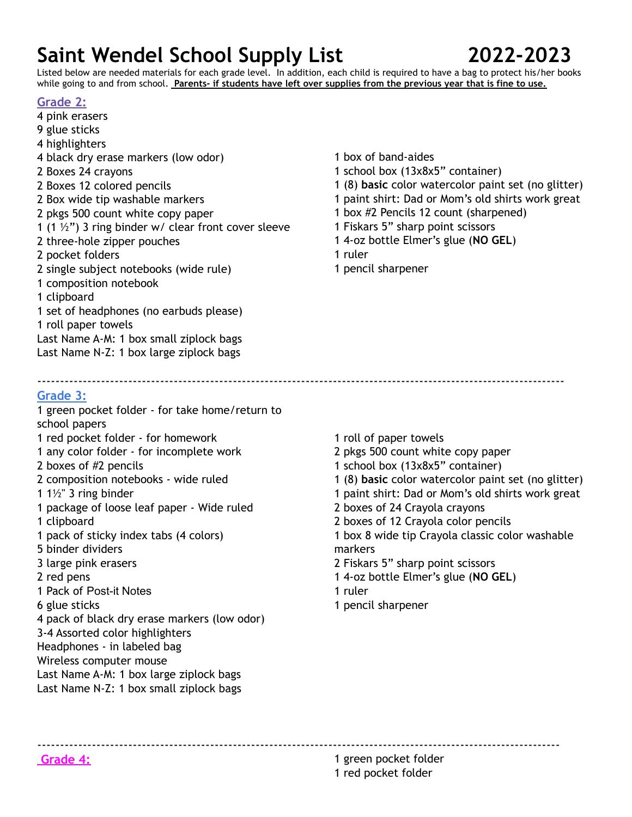Listed below are needed materials for each grade level. In addition, each child is required to have a bag to protect his/her books while going to and from school. **Parents- if students have left over supplies from the previous year that is fine to use.**

--------------------------------------------------------------------------------------------------------------------

### **Grade 2:**

- pink erasers glue sticks highlighters black dry erase markers (low odor) Boxes 24 crayons Boxes 12 colored pencils Box wide tip washable markers pkgs 500 count white copy paper 1 (1  $\frac{1}{2}$ ") 3 ring binder w/ clear front cover sleeve three-hole zipper pouches pocket folders single subject notebooks (wide rule) composition notebook clipboard set of headphones (no earbuds please) roll paper towels Last Name A-M: 1 box small ziplock bags Last Name N-Z: 1 box large ziplock bags
- box of band-aides
- school box (13x8x5" container)
- (8) **basic** color watercolor paint set (no glitter)
- paint shirt: Dad or Mom's old shirts work great
- box #2 Pencils 12 count (sharpened)
- Fiskars 5" sharp point scissors
- 4-oz bottle Elmer's glue (**NO GEL**)
- ruler
- pencil sharpener

### **Grade 3:**

- green pocket folder for take home/return to school papers red pocket folder - for homework any color folder - for incomplete work boxes of #2 pencils composition notebooks - wide ruled 1½" 3 ring binder package of loose leaf paper - Wide ruled clipboard pack of sticky index tabs (4 colors) binder dividers large pink erasers red pens Pack of Post-it Notes glue sticks pack of black dry erase markers (low odor) 3-4 Assorted color highlighters Headphones - in labeled bag Wireless computer mouse Last Name A-M: 1 box large ziplock bags Last Name N-Z: 1 box small ziplock bags
- roll of paper towels pkgs 500 count white copy paper school box (13x8x5" container) (8) **basic** color watercolor paint set (no glitter) paint shirt: Dad or Mom's old shirts work great boxes of 24 Crayola crayons boxes of 12 Crayola color pencils box 8 wide tip Crayola classic color washable markers Fiskars 5" sharp point scissors 4-oz bottle Elmer's glue (**NO GEL**) ruler pencil sharpener

-------------------------------------------------------------------------------------------------------------------

**Grade 4:** 1 green pocket folder red pocket folder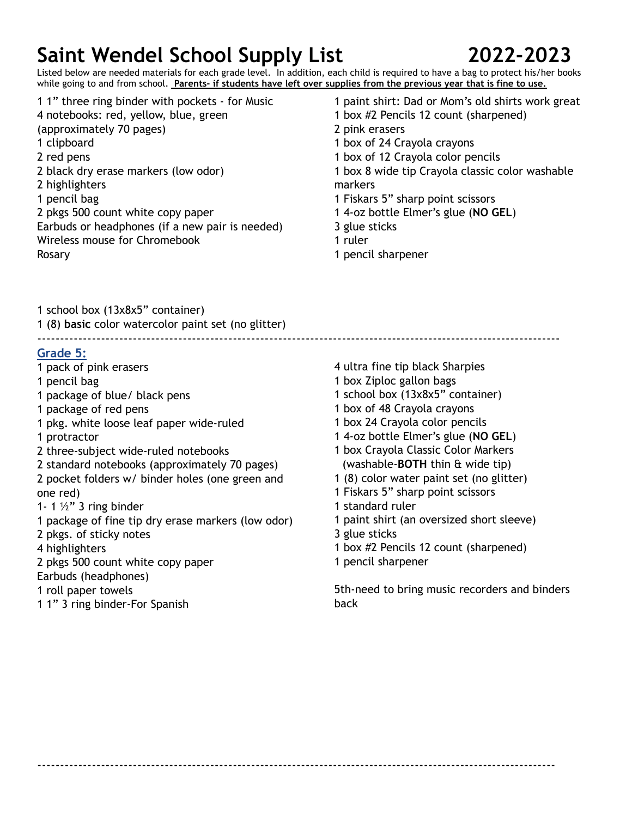

Listed below are needed materials for each grade level. In addition, each child is required to have a bag to protect his/her books while going to and from school. **Parents- if students have left over supplies from the previous year that is fine to use.**

- 1" three ring binder with pockets for Music notebooks: red, yellow, blue, green (approximately 70 pages) clipboard red pens black dry erase markers (low odor) highlighters pencil bag pkgs 500 count white copy paper Earbuds or headphones (if a new pair is needed) Wireless mouse for Chromebook Rosary
- paint shirt: Dad or Mom's old shirts work great
- box #2 Pencils 12 count (sharpened)
- pink erasers
- box of 24 Crayola crayons
- box of 12 Crayola color pencils
- box 8 wide tip Crayola classic color washable markers
- Fiskars 5" sharp point scissors
- 4-oz bottle Elmer's glue (**NO GEL**)
- glue sticks
- ruler
- pencil sharpener

school box (13x8x5" container)

 (8) **basic** color watercolor paint set (no glitter) -------------------------------------------------------------------------------------------------------------------

#### **Grade 5:**

- pack of pink erasers
- pencil bag
- package of blue/ black pens
- package of red pens
- pkg. white loose leaf paper wide-ruled
- protractor
- three-subject wide-ruled notebooks
- standard notebooks (approximately 70 pages)
- pocket folders w/ binder holes (one green and one red)
- 1- 1  $\frac{1}{2}$ " 3 ring binder
- package of fine tip dry erase markers (low odor)
- pkgs. of sticky notes
- highlighters
- pkgs 500 count white copy paper
- Earbuds (headphones)
- roll paper towels
- 1" 3 ring binder-For Spanish
- ultra fine tip black Sharpies
- box Ziploc gallon bags
- school box (13x8x5" container)
- box of 48 Crayola crayons
- box 24 Crayola color pencils
- 4-oz bottle Elmer's glue (**NO GEL**)
- box Crayola Classic Color Markers (washable-**BOTH** thin & wide tip)
- (8) color water paint set (no glitter)
- Fiskars 5" sharp point scissors
- standard ruler
- paint shirt (an oversized short sleeve)
- glue sticks

------------------------------------------------------------------------------------------------------------------

- box #2 Pencils 12 count (sharpened)
- pencil sharpener

5th-need to bring music recorders and binders back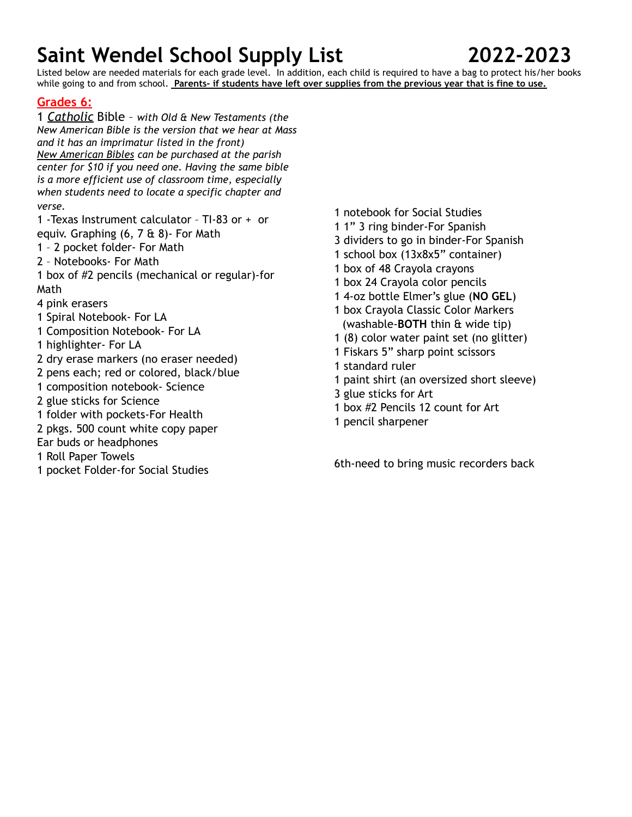Listed below are needed materials for each grade level. In addition, each child is required to have a bag to protect his/her books while going to and from school. **Parents- if students have left over supplies from the previous year that is fine to use.**

# **Grades 6:**

 *Catholic* Bible – *with Old & New Testaments (the New American Bible is the version that we hear at Mass and it has an imprimatur listed in the front) New American Bibles can be purchased at the parish center for \$10 if you need one. Having the same bible is a more efficient use of classroom time, especially when students need to locate a specific chapter and verse.*

 -Texas Instrument calculator – TI-83 or + or equiv. Graphing (6, 7 & 8)- For Math

- 2 pocket folder- For Math
- Notebooks- For Math

 box of #2 pencils (mechanical or regular)-for Math

pink erasers

- Spiral Notebook- For LA
- Composition Notebook- For LA

highlighter- For LA

- dry erase markers (no eraser needed)
- pens each; red or colored, black/blue
- composition notebook- Science
- glue sticks for Science
- folder with pockets-For Health
- pkgs. 500 count white copy paper
- Ear buds or headphones
- Roll Paper Towels
- pocket Folder-for Social Studies
- notebook for Social Studies
- 1" 3 ring binder-For Spanish
- dividers to go in binder-For Spanish
- school box (13x8x5" container)
- box of 48 Crayola crayons
- box 24 Crayola color pencils
- 4-oz bottle Elmer's glue (**NO GEL**)
- box Crayola Classic Color Markers (washable-**BOTH** thin & wide tip)
- (8) color water paint set (no glitter)
- Fiskars 5" sharp point scissors
- standard ruler
- paint shirt (an oversized short sleeve)
- glue sticks for Art
- box #2 Pencils 12 count for Art
- pencil sharpener

6th-need to bring music recorders back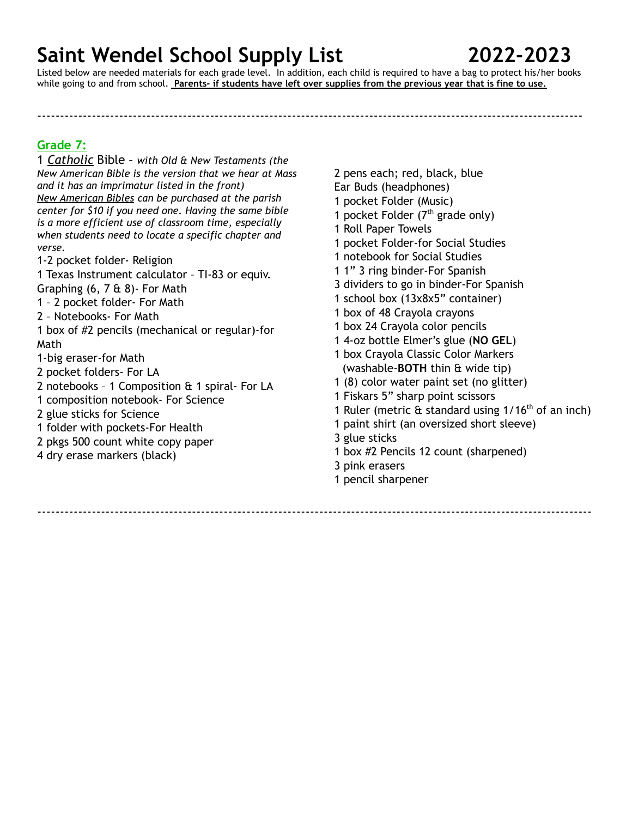Listed below are needed materials for each grade level. In addition, each child is required to have a bag to protect his/her books while going to and from school. **Parents- if students have left over supplies from the previous year that is fine to use.**

------------------------------------------------------------------------------------------------------------------------

**Grade 7:**

1 *Catholic* Bible – *with Old & New Testaments (the New American Bible is the version that we hear at Mass and it has an imprimatur listed in the front) New American Bibles can be purchased at the parish center for \$10 if you need one. Having the same bible is a more efficient use of classroom time, especially when students need to locate a specific chapter and verse.*

1-2 pocket folder- Religion

1 Texas Instrument calculator – TI-83 or equiv. Graphing (6, 7 & 8)- For Math

1 – 2 pocket folder- For Math

2 – Notebooks- For Math

1 box of #2 pencils (mechanical or regular)-for Math

1-big eraser-for Math

2 pocket folders- For LA

2 notebooks – 1 Composition & 1 spiral- For LA

1 composition notebook- For Science

2 glue sticks for Science

- 1 folder with pockets-For Health
- 2 pkgs 500 count white copy paper
- 4 dry erase markers (black)

 pens each; red, black, blue Ear Buds (headphones) pocket Folder (Music) 1 pocket Folder  $(7<sup>th</sup>$  grade only) Roll Paper Towels pocket Folder-for Social Studies notebook for Social Studies 1" 3 ring binder-For Spanish dividers to go in binder-For Spanish school box (13x8x5" container) box of 48 Crayola crayons box 24 Crayola color pencils 4-oz bottle Elmer's glue (**NO GEL**) box Crayola Classic Color Markers (washable-**BOTH** thin & wide tip) (8) color water paint set (no glitter) Fiskars 5" sharp point scissors

- 1 Ruler (metric & standard using 1/16<sup>th</sup> of an inch)
- 1 paint shirt (an oversized short sleeve)
- 3 glue sticks
- 1 box #2 Pencils 12 count (sharpened)
- 3 pink erasers
- 1 pencil sharpener

--------------------------------------------------------------------------------------------------------------------------